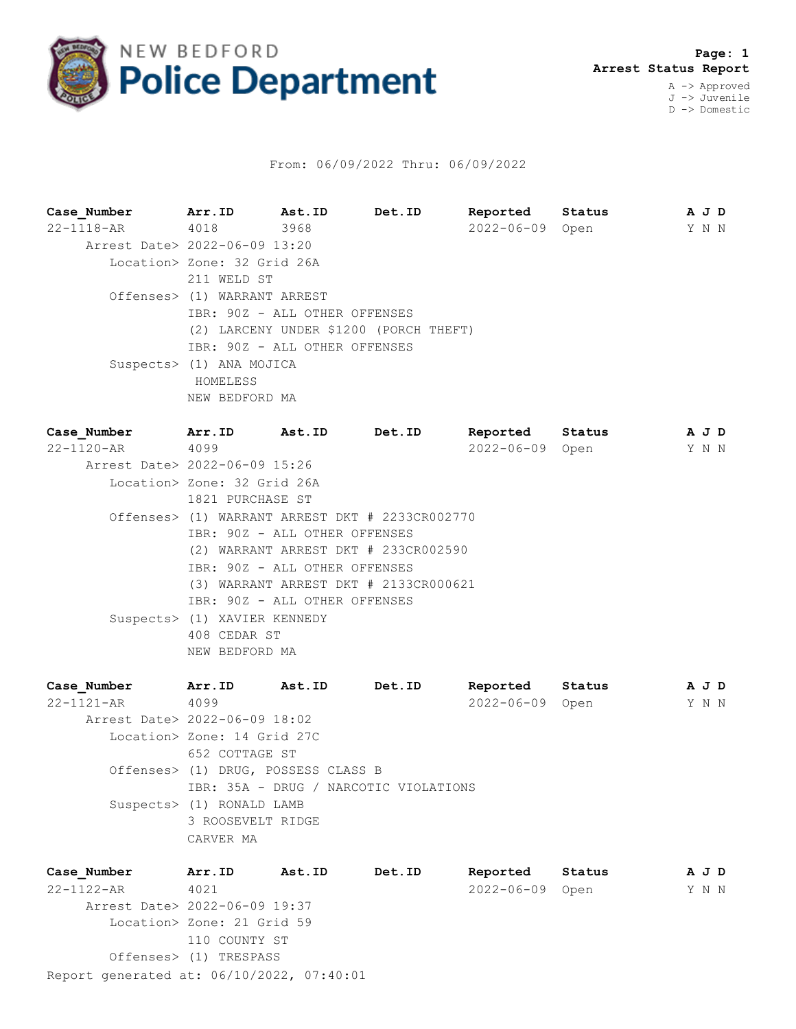

## From: 06/09/2022 Thru: 06/09/2022

**Case\_Number Arr.ID Ast.ID Det.ID Reported Status A J D** 22-1118-AR 4018 3968 2022-06-09 Open Y N N Arrest Date> 2022-06-09 13:20 Location> Zone: 32 Grid 26A 211 WELD ST Offenses> (1) WARRANT ARREST IBR: 90Z - ALL OTHER OFFENSES (2) LARCENY UNDER \$1200 (PORCH THEFT) IBR: 90Z - ALL OTHER OFFENSES Suspects> (1) ANA MOJICA HOMELESS NEW BEDFORD MA

| Case Number                   | Arr.ID                                                                | Ast.ID                        | Det.ID                                | Reported        | Status | A J D |  |  |  |  |  |
|-------------------------------|-----------------------------------------------------------------------|-------------------------------|---------------------------------------|-----------------|--------|-------|--|--|--|--|--|
| 22-1120-AR                    | 4099                                                                  |                               |                                       | 2022-06-09 Open |        | Y N N |  |  |  |  |  |
| Arrest Date> 2022-06-09 15:26 |                                                                       |                               |                                       |                 |        |       |  |  |  |  |  |
|                               | Location> Zone: 32 Grid 26A                                           |                               |                                       |                 |        |       |  |  |  |  |  |
|                               |                                                                       | 1821 PURCHASE ST              |                                       |                 |        |       |  |  |  |  |  |
|                               | Offenses> (1) WARRANT ARREST DKT # 2233CR002770                       |                               |                                       |                 |        |       |  |  |  |  |  |
|                               | IBR: 90Z - ALL OTHER OFFENSES                                         |                               |                                       |                 |        |       |  |  |  |  |  |
|                               | (2) WARRANT ARREST DKT # 233CR002590<br>IBR: 90Z - ALL OTHER OFFENSES |                               |                                       |                 |        |       |  |  |  |  |  |
|                               |                                                                       |                               |                                       |                 |        |       |  |  |  |  |  |
|                               |                                                                       |                               | (3) WARRANT ARREST DKT # 2133CR000621 |                 |        |       |  |  |  |  |  |
|                               |                                                                       | IBR: 90Z - ALL OTHER OFFENSES |                                       |                 |        |       |  |  |  |  |  |
|                               | Suspects> (1) XAVIER KENNEDY                                          |                               |                                       |                 |        |       |  |  |  |  |  |
|                               | 408 CEDAR ST                                                          |                               |                                       |                 |        |       |  |  |  |  |  |
|                               | NEW BEDFORD MA                                                        |                               |                                       |                 |        |       |  |  |  |  |  |
|                               |                                                                       |                               |                                       |                 |        |       |  |  |  |  |  |

| Case Number                   | Arr.ID                              | Ast.ID | Det.ID                                | Reported         | Status | A J D |  |
|-------------------------------|-------------------------------------|--------|---------------------------------------|------------------|--------|-------|--|
| $22 - 1121 - AR$              | 4099                                |        |                                       | $2022 - 06 - 09$ | Open   | Y N N |  |
| Arrest Date> 2022-06-09 18:02 |                                     |        |                                       |                  |        |       |  |
|                               | Location> Zone: 14 Grid 27C         |        |                                       |                  |        |       |  |
|                               | 652 COTTAGE ST                      |        |                                       |                  |        |       |  |
|                               | Offenses> (1) DRUG, POSSESS CLASS B |        |                                       |                  |        |       |  |
|                               |                                     |        | IBR: 35A - DRUG / NARCOTIC VIOLATIONS |                  |        |       |  |
|                               | Suspects> (1) RONALD LAMB           |        |                                       |                  |        |       |  |
|                               | 3 ROOSEVELT RIDGE                   |        |                                       |                  |        |       |  |
|                               | CARVER MA                           |        |                                       |                  |        |       |  |
|                               |                                     |        |                                       |                  |        |       |  |

Report generated at: 06/10/2022, 07:40:01 **Case\_Number Arr.ID Ast.ID Det.ID Reported Status A J D** 22-1122-AR 4021 2022-06-09 Open Y N N Arrest Date> 2022-06-09 19:37 Location> Zone: 21 Grid 59 110 COUNTY ST Offenses> (1) TRESPASS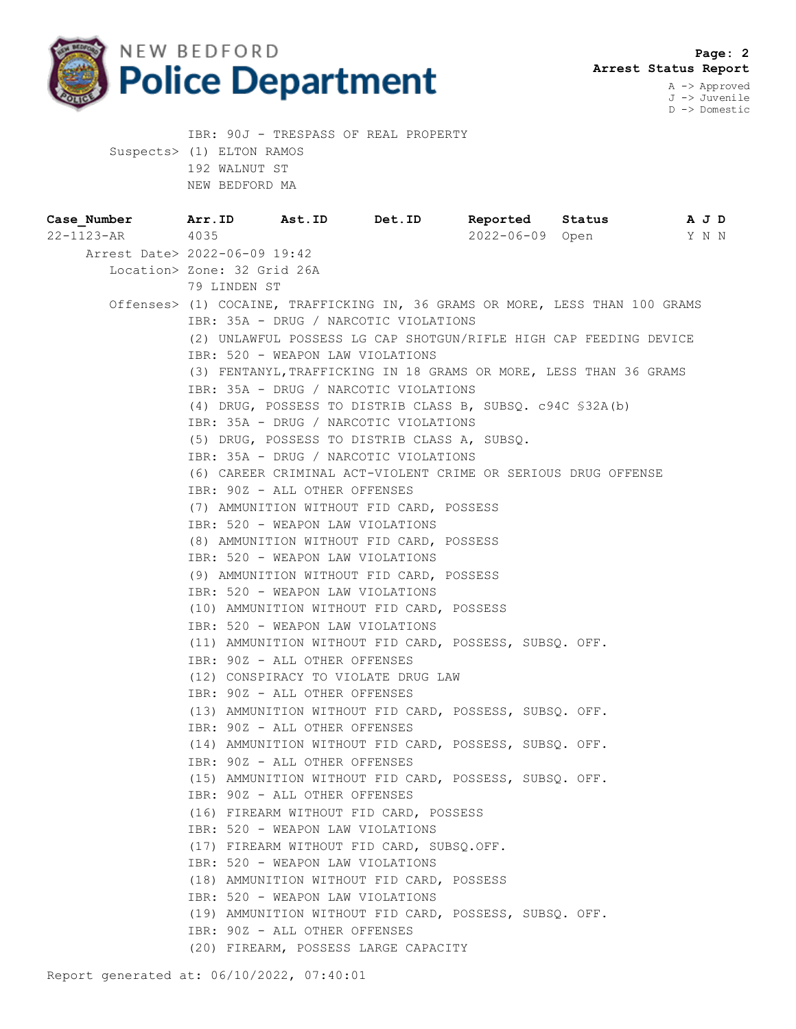

IBR: 90J - TRESPASS OF REAL PROPERTY

D -> Domestic

|                                                                  | Suspects> (1) ELTON RAMOS                                                    |                                       |                                              |                                                        |  |       |  |  |  |
|------------------------------------------------------------------|------------------------------------------------------------------------------|---------------------------------------|----------------------------------------------|--------------------------------------------------------|--|-------|--|--|--|
|                                                                  | 192 WALNUT ST                                                                |                                       |                                              |                                                        |  |       |  |  |  |
|                                                                  | NEW BEDFORD MA                                                               |                                       |                                              |                                                        |  |       |  |  |  |
| Case Number 1 Arr.ID 1 Ast.ID 1 Det.ID 1 Reported Status 1 A J D |                                                                              |                                       |                                              |                                                        |  |       |  |  |  |
| 22-1123-AR 4035                                                  |                                                                              |                                       |                                              | 2022-06-09 Open                                        |  | Y N N |  |  |  |
| Arrest Date> 2022-06-09 19:42                                    |                                                                              |                                       |                                              |                                                        |  |       |  |  |  |
|                                                                  | Location> Zone: 32 Grid 26A                                                  |                                       |                                              |                                                        |  |       |  |  |  |
|                                                                  | 79 LINDEN ST                                                                 |                                       |                                              |                                                        |  |       |  |  |  |
|                                                                  | Offenses> (1) COCAINE, TRAFFICKING IN, 36 GRAMS OR MORE, LESS THAN 100 GRAMS |                                       |                                              |                                                        |  |       |  |  |  |
|                                                                  | IBR: 35A - DRUG / NARCOTIC VIOLATIONS                                        |                                       |                                              |                                                        |  |       |  |  |  |
|                                                                  | (2) UNLAWFUL POSSESS LG CAP SHOTGUN/RIFLE HIGH CAP FEEDING DEVICE            |                                       |                                              |                                                        |  |       |  |  |  |
|                                                                  | IBR: 520 - WEAPON LAW VIOLATIONS                                             |                                       |                                              |                                                        |  |       |  |  |  |
|                                                                  | (3) FENTANYL, TRAFFICKING IN 18 GRAMS OR MORE, LESS THAN 36 GRAMS            |                                       |                                              |                                                        |  |       |  |  |  |
|                                                                  | IBR: 35A - DRUG / NARCOTIC VIOLATIONS                                        |                                       |                                              |                                                        |  |       |  |  |  |
|                                                                  | (4) DRUG, POSSESS TO DISTRIB CLASS B, SUBSQ. c94C \$32A(b)                   |                                       |                                              |                                                        |  |       |  |  |  |
|                                                                  | IBR: 35A - DRUG / NARCOTIC VIOLATIONS                                        |                                       |                                              |                                                        |  |       |  |  |  |
|                                                                  |                                                                              |                                       | (5) DRUG, POSSESS TO DISTRIB CLASS A, SUBSQ. |                                                        |  |       |  |  |  |
|                                                                  |                                                                              | IBR: 35A - DRUG / NARCOTIC VIOLATIONS |                                              |                                                        |  |       |  |  |  |
|                                                                  | (6) CAREER CRIMINAL ACT-VIOLENT CRIME OR SERIOUS DRUG OFFENSE                |                                       |                                              |                                                        |  |       |  |  |  |
|                                                                  |                                                                              | IBR: 90Z - ALL OTHER OFFENSES         |                                              |                                                        |  |       |  |  |  |
|                                                                  | (7) AMMUNITION WITHOUT FID CARD, POSSESS                                     |                                       |                                              |                                                        |  |       |  |  |  |
|                                                                  |                                                                              | IBR: 520 - WEAPON LAW VIOLATIONS      |                                              |                                                        |  |       |  |  |  |
|                                                                  | (8) AMMUNITION WITHOUT FID CARD, POSSESS                                     |                                       |                                              |                                                        |  |       |  |  |  |
|                                                                  | IBR: 520 - WEAPON LAW VIOLATIONS                                             |                                       |                                              |                                                        |  |       |  |  |  |
|                                                                  | (9) AMMUNITION WITHOUT FID CARD, POSSESS                                     |                                       |                                              |                                                        |  |       |  |  |  |
|                                                                  | IBR: 520 - WEAPON LAW VIOLATIONS                                             |                                       |                                              |                                                        |  |       |  |  |  |
|                                                                  |                                                                              |                                       | (10) AMMUNITION WITHOUT FID CARD, POSSESS    |                                                        |  |       |  |  |  |
|                                                                  |                                                                              | IBR: 520 - WEAPON LAW VIOLATIONS      |                                              |                                                        |  |       |  |  |  |
|                                                                  |                                                                              |                                       |                                              | (11) AMMUNITION WITHOUT FID CARD, POSSESS, SUBSQ. OFF. |  |       |  |  |  |
|                                                                  |                                                                              | IBR: 90Z - ALL OTHER OFFENSES         |                                              |                                                        |  |       |  |  |  |
|                                                                  |                                                                              |                                       | (12) CONSPIRACY TO VIOLATE DRUG LAW          |                                                        |  |       |  |  |  |
|                                                                  |                                                                              | IBR: 90Z - ALL OTHER OFFENSES         |                                              |                                                        |  |       |  |  |  |
|                                                                  |                                                                              |                                       |                                              | (13) AMMUNITION WITHOUT FID CARD, POSSESS, SUBSQ. OFF. |  |       |  |  |  |
|                                                                  |                                                                              | IBR: 90Z - ALL OTHER OFFENSES         |                                              |                                                        |  |       |  |  |  |
|                                                                  |                                                                              |                                       |                                              | (14) AMMUNITION WITHOUT FID CARD, POSSESS, SUBSQ. OFF. |  |       |  |  |  |
|                                                                  |                                                                              | IBR: 90Z - ALL OTHER OFFENSES         |                                              |                                                        |  |       |  |  |  |
|                                                                  |                                                                              |                                       |                                              | (15) AMMUNITION WITHOUT FID CARD, POSSESS, SUBSO. OFF. |  |       |  |  |  |
|                                                                  |                                                                              | IBR: 90Z - ALL OTHER OFFENSES         |                                              |                                                        |  |       |  |  |  |
|                                                                  |                                                                              |                                       | (16) FIREARM WITHOUT FID CARD, POSSESS       |                                                        |  |       |  |  |  |
|                                                                  |                                                                              | IBR: 520 - WEAPON LAW VIOLATIONS      |                                              |                                                        |  |       |  |  |  |
|                                                                  |                                                                              |                                       | (17) FIREARM WITHOUT FID CARD, SUBSO.OFF.    |                                                        |  |       |  |  |  |
|                                                                  |                                                                              | IBR: 520 - WEAPON LAW VIOLATIONS      |                                              |                                                        |  |       |  |  |  |
|                                                                  |                                                                              |                                       | (18) AMMUNITION WITHOUT FID CARD, POSSESS    |                                                        |  |       |  |  |  |
|                                                                  |                                                                              | IBR: 520 - WEAPON LAW VIOLATIONS      |                                              |                                                        |  |       |  |  |  |
|                                                                  |                                                                              |                                       |                                              | (19) AMMUNITION WITHOUT FID CARD, POSSESS, SUBSQ. OFF. |  |       |  |  |  |
|                                                                  |                                                                              | IBR: 90Z - ALL OTHER OFFENSES         |                                              |                                                        |  |       |  |  |  |
|                                                                  |                                                                              |                                       | (20) FIREARM, POSSESS LARGE CAPACITY         |                                                        |  |       |  |  |  |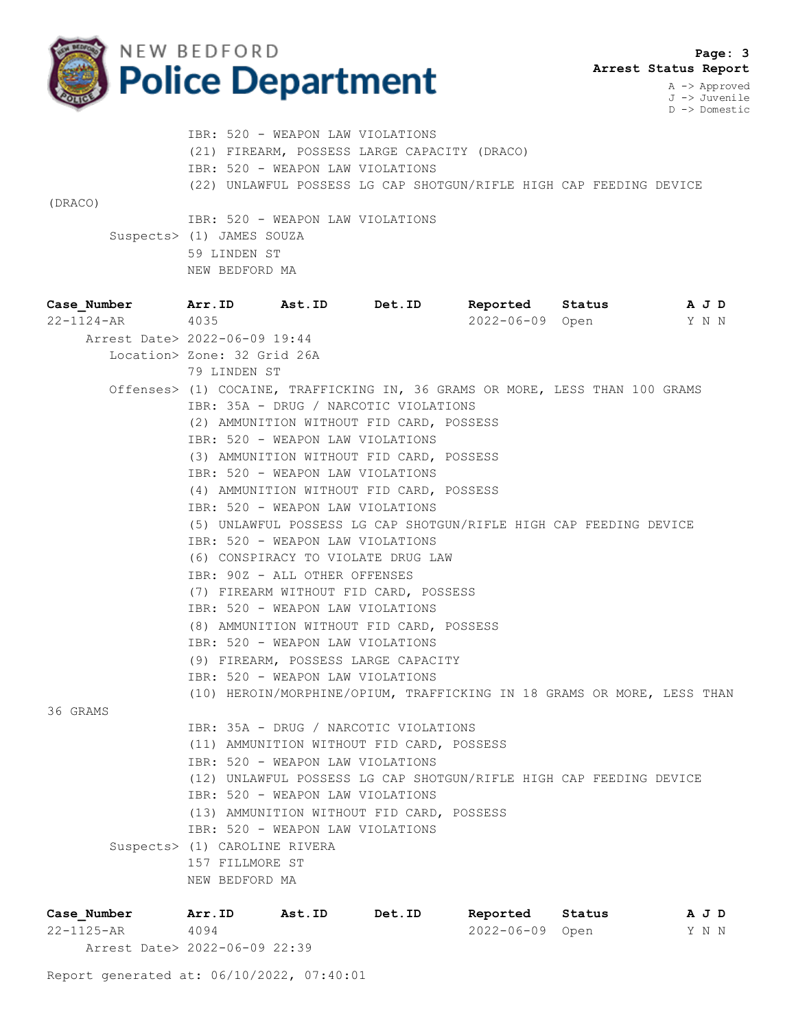

 **Page: 3 Arrest Status Report**

A -> Approved J -> Juvenile D -> Domestic

 IBR: 520 - WEAPON LAW VIOLATIONS (21) FIREARM, POSSESS LARGE CAPACITY (DRACO) IBR: 520 - WEAPON LAW VIOLATIONS (22) UNLAWFUL POSSESS LG CAP SHOTGUN/RIFLE HIGH CAP FEEDING DEVICE (DRACO)

 IBR: 520 - WEAPON LAW VIOLATIONS Suspects> (1) JAMES SOUZA 59 LINDEN ST NEW BEDFORD MA

| Case Number Arr. ID                                                                                 |                                       | Ast.ID Det.ID |                                           | Reported                                                                     | Status | A J D      |  |  |  |
|-----------------------------------------------------------------------------------------------------|---------------------------------------|---------------|-------------------------------------------|------------------------------------------------------------------------------|--------|------------|--|--|--|
| 22-1124-AR                                                                                          | 4035                                  |               |                                           | 2022-06-09 Open                                                              |        | Y N N      |  |  |  |
| Arrest Date> 2022-06-09 19:44                                                                       |                                       |               |                                           |                                                                              |        |            |  |  |  |
|                                                                                                     | Location> Zone: 32 Grid 26A           |               |                                           |                                                                              |        |            |  |  |  |
|                                                                                                     | 79 LINDEN ST                          |               |                                           |                                                                              |        |            |  |  |  |
|                                                                                                     |                                       |               |                                           | Offenses> (1) COCAINE, TRAFFICKING IN, 36 GRAMS OR MORE, LESS THAN 100 GRAMS |        |            |  |  |  |
|                                                                                                     | IBR: 35A - DRUG / NARCOTIC VIOLATIONS |               |                                           |                                                                              |        |            |  |  |  |
|                                                                                                     |                                       |               | (2) AMMUNITION WITHOUT FID CARD, POSSESS  |                                                                              |        |            |  |  |  |
|                                                                                                     | IBR: 520 - WEAPON LAW VIOLATIONS      |               |                                           |                                                                              |        |            |  |  |  |
|                                                                                                     |                                       |               | (3) AMMUNITION WITHOUT FID CARD, POSSESS  |                                                                              |        |            |  |  |  |
|                                                                                                     | IBR: 520 - WEAPON LAW VIOLATIONS      |               |                                           |                                                                              |        |            |  |  |  |
|                                                                                                     |                                       |               | (4) AMMUNITION WITHOUT FID CARD, POSSESS  |                                                                              |        |            |  |  |  |
|                                                                                                     | IBR: 520 - WEAPON LAW VIOLATIONS      |               |                                           |                                                                              |        |            |  |  |  |
|                                                                                                     |                                       |               |                                           | (5) UNLAWFUL POSSESS LG CAP SHOTGUN/RIFLE HIGH CAP FEEDING DEVICE            |        |            |  |  |  |
|                                                                                                     | IBR: 520 - WEAPON LAW VIOLATIONS      |               |                                           |                                                                              |        |            |  |  |  |
|                                                                                                     |                                       |               | (6) CONSPIRACY TO VIOLATE DRUG LAW        |                                                                              |        |            |  |  |  |
|                                                                                                     | IBR: 90Z - ALL OTHER OFFENSES         |               |                                           |                                                                              |        |            |  |  |  |
|                                                                                                     |                                       |               | (7) FIREARM WITHOUT FID CARD, POSSESS     |                                                                              |        |            |  |  |  |
|                                                                                                     | IBR: 520 - WEAPON LAW VIOLATIONS      |               |                                           |                                                                              |        |            |  |  |  |
|                                                                                                     |                                       |               | (8) AMMUNITION WITHOUT FID CARD, POSSESS  |                                                                              |        |            |  |  |  |
|                                                                                                     | IBR: 520 - WEAPON LAW VIOLATIONS      |               |                                           |                                                                              |        |            |  |  |  |
|                                                                                                     |                                       |               | (9) FIREARM, POSSESS LARGE CAPACITY       |                                                                              |        |            |  |  |  |
|                                                                                                     | IBR: 520 - WEAPON LAW VIOLATIONS      |               |                                           |                                                                              |        |            |  |  |  |
|                                                                                                     |                                       |               |                                           | (10) HEROIN/MORPHINE/OPIUM, TRAFFICKING IN 18 GRAMS OR MORE, LESS THAN       |        |            |  |  |  |
| 36 GRAMS                                                                                            |                                       |               |                                           |                                                                              |        |            |  |  |  |
|                                                                                                     |                                       |               | IBR: 35A - DRUG / NARCOTIC VIOLATIONS     |                                                                              |        |            |  |  |  |
|                                                                                                     |                                       |               | (11) AMMUNITION WITHOUT FID CARD, POSSESS |                                                                              |        |            |  |  |  |
|                                                                                                     | IBR: 520 - WEAPON LAW VIOLATIONS      |               |                                           |                                                                              |        |            |  |  |  |
|                                                                                                     |                                       |               |                                           | (12) UNLAWFUL POSSESS LG CAP SHOTGUN/RIFLE HIGH CAP FEEDING DEVICE           |        |            |  |  |  |
|                                                                                                     | IBR: 520 - WEAPON LAW VIOLATIONS      |               |                                           |                                                                              |        |            |  |  |  |
|                                                                                                     |                                       |               | (13) AMMUNITION WITHOUT FID CARD, POSSESS |                                                                              |        |            |  |  |  |
|                                                                                                     | IBR: 520 - WEAPON LAW VIOLATIONS      |               |                                           |                                                                              |        |            |  |  |  |
|                                                                                                     | Suspects> (1) CAROLINE RIVERA         |               |                                           |                                                                              |        |            |  |  |  |
|                                                                                                     | 157 FILLMORE ST                       |               |                                           |                                                                              |        |            |  |  |  |
|                                                                                                     | NEW BEDFORD MA                        |               |                                           |                                                                              |        |            |  |  |  |
| $C2$ $C2$ $C2$ $C2$ $C2$ $C2$ $C2$ $C2$ $C2$ $C2$ $C2$ $C2$ $C2$ $C2$ $C2$ $C2$ $C2$ $C2$ $C2$ $C2$ |                                       |               |                                           | Arr ID Act ID Dot ID Doportod Status                                         |        | $\sqrt{2}$ |  |  |  |

**Case\_Number Arr.ID Ast.ID Det.ID Reported Status A J D** 22-1125-AR 4094 2022-06-09 Open Y N N Arrest Date> 2022-06-09 22:39